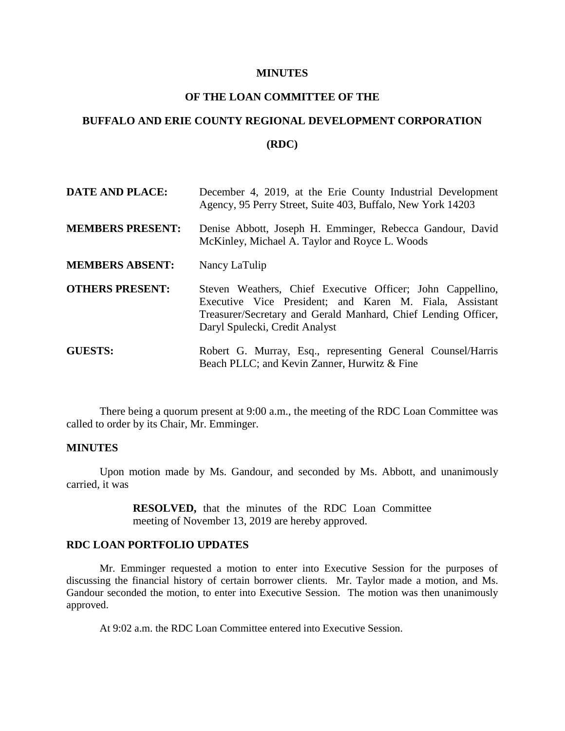#### **MINUTES**

# **OF THE LOAN COMMITTEE OF THE**

# **BUFFALO AND ERIE COUNTY REGIONAL DEVELOPMENT CORPORATION**

### **(RDC)**

| <b>DATE AND PLACE:</b>  | December 4, 2019, at the Erie County Industrial Development<br>Agency, 95 Perry Street, Suite 403, Buffalo, New York 14203                                                                                                |
|-------------------------|---------------------------------------------------------------------------------------------------------------------------------------------------------------------------------------------------------------------------|
| <b>MEMBERS PRESENT:</b> | Denise Abbott, Joseph H. Emminger, Rebecca Gandour, David<br>McKinley, Michael A. Taylor and Royce L. Woods                                                                                                               |
| <b>MEMBERS ABSENT:</b>  | Nancy LaTulip                                                                                                                                                                                                             |
| <b>OTHERS PRESENT:</b>  | Steven Weathers, Chief Executive Officer; John Cappellino,<br>Executive Vice President; and Karen M. Fiala, Assistant<br>Treasurer/Secretary and Gerald Manhard, Chief Lending Officer,<br>Daryl Spulecki, Credit Analyst |
| <b>GUESTS:</b>          | Robert G. Murray, Esq., representing General Counsel/Harris<br>Beach PLLC; and Kevin Zanner, Hurwitz & Fine                                                                                                               |

There being a quorum present at 9:00 a.m., the meeting of the RDC Loan Committee was called to order by its Chair, Mr. Emminger.

### **MINUTES**

Upon motion made by Ms. Gandour, and seconded by Ms. Abbott, and unanimously carried, it was

> **RESOLVED,** that the minutes of the RDC Loan Committee meeting of November 13, 2019 are hereby approved.

## **RDC LOAN PORTFOLIO UPDATES**

Mr. Emminger requested a motion to enter into Executive Session for the purposes of discussing the financial history of certain borrower clients. Mr. Taylor made a motion, and Ms. Gandour seconded the motion, to enter into Executive Session. The motion was then unanimously approved.

At 9:02 a.m. the RDC Loan Committee entered into Executive Session.